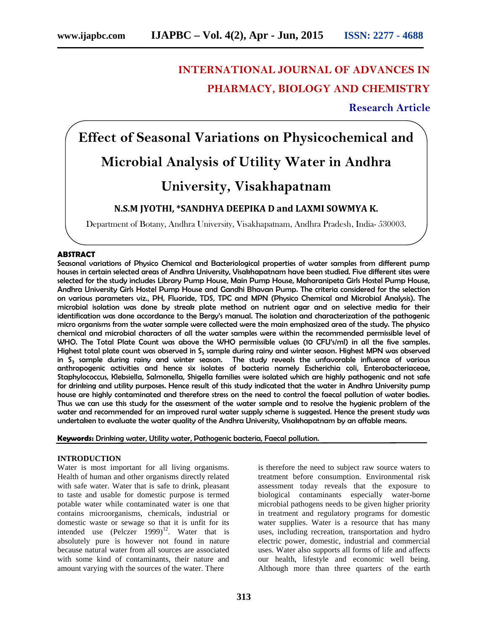# **INTERNATIONAL JOURNAL OF ADVANCES IN PHARMACY, BIOLOGY AND CHEMISTRY**

**Research Article**

# **Effect of Seasonal Variations on Physicochemical and Microbial Analysis of Utility Water in Andhra**

# **University, Visakhapatnam**

# **N.S.M JYOTHI, \*SANDHYA DEEPIKA D and LAXMI SOWMYA K.**

Department of Botany, Andhra University, Visakhapatnam, Andhra Pradesh, India- 530003.

# **ABSTRACT**

Seasonal variations of Physico Chemical and Bacteriological properties of water samples from different pump houses in certain selected areas of Andhra University, Visakhapatnam have been studied. Five different sites were selected for the study includes Library Pump House, Main Pump House, Maharanipeta Girls Hostel Pump House, Andhra University Girls Hostel Pump House and Gandhi Bhavan Pump. The criteria considered for the selection on various parameters viz., PH, Fluoride, TDS, TPC and MPN (Physico Chemical and Microbial Analysis). The microbial isolation was done by streak plate method on nutrient agar and on selective media for their identification was done accordance to the Bergy's manual. The isolation and characterization of the pathogenic micro organisms from the water sample were collected were the main emphasized area of the study. The physico chemical and microbial characters of all the water samples were within the recommended permissible level of WHO. The Total Plate Count was above the WHO permissible values (10 CFU's/ml) in all the five samples. Highest total plate count was observed in S $_5$  sample during rainy and winter season. Highest MPN was observed in S $_{\rm 3}$  sample during rainy and winter season. The study reveals the unfavorable influence of various anthropogenic activities and hence six isolates of bacteria namely Escherichia coli, Enterobacteriaceae, Staphylococcus, Klebsiella, Salmonella, Shigella families were isolated which are highly pathogenic and not safe for drinking and utility purposes. Hence result of this study indicated that the water in Andhra University pump house are highly contaminated and therefore stress on the need to control the faecal pollution of water bodies. Thus we can use this study for the assessment of the water sample and to resolve the hygienic problem of the water and recommended for an improved rural water supply scheme is suggested. Hence the present study was undertaken to evaluate the water quality of the Andhra University, Visakhapatnam by an affable means.

**Keywords:** Drinking water, Utility water, Pathogenic bacteria, Faecal pollution.

#### **INTRODUCTION**

Water is most important for all living organisms. Health of human and other organisms directly related with safe water. Water that is safe to drink, pleasant to taste and usable for domestic purpose is termed potable water while contaminated water is one that contains microorganisms, chemicals, industrial or domestic waste or sewage so that it is unfit for its intended use  $(Pelczer \ 1999)^{12}$ . Water that is absolutely pure is however not found in nature because natural water from all sources are associated with some kind of contaminants, their nature and amount varying with the sources of the water. There

is therefore the need to subject raw source waters to treatment before consumption. Environmental risk assessment today reveals that the exposure to biological contaminants especially water-borne microbial pathogens needs to be given higher priority in treatment and regulatory programs for domestic water supplies. Water is a resource that has many uses, including recreation, transportation and hydro electric power, domestic, industrial and commercial uses. Water also supports all forms of life and affects our health, lifestyle and economic well being. Although more than three quarters of the earth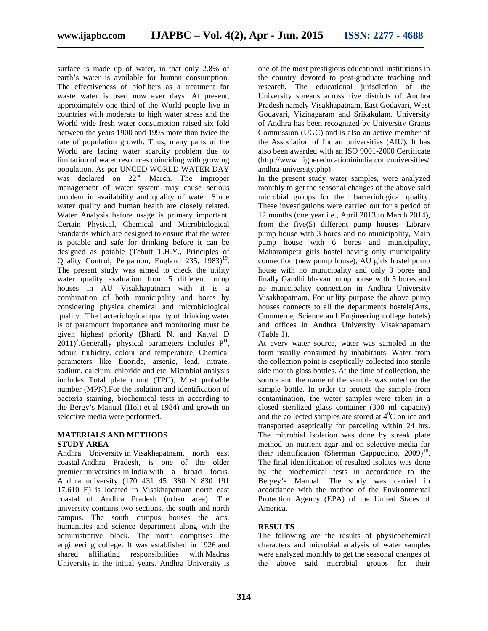surface is made up of water, in that only 2.8% of earth's water is available for human consumption. The effectiveness of biofilters as a treatment for waste water is used now ever days. At present, approximately one third of the World people live in countries with moderate to high water stress and the World wide fresh water consumption raised six fold between the years 1900 and 1995 more than twice the rate of population growth. Thus, many parts of the World are facing water scarcity problem due to limitation of water resources coinciding with growing population. As per UNCED WORLD WATER DAY was declared on  $22<sup>nd</sup>$  March. The improper management of water system may cause serious problem in availability and quality of water. Since water quality and human health are closely related. Water Analysis before usage is primary important. Certain Physical, Chemical and Microbiological Standards which are designed to ensure that the water is potable and safe for drinking before it can be designed as potable (Tebutt T.H.Y., Principles of Quality Control, Pergamon, England 235, 1983)<sup>19</sup>. The present study was aimed to check the utility water quality evaluation from 5 different pump houses in AU Visakhapatnam with it is a combination of both municipality and bores by considering physical,chemical and microbiological quality.. The bacteriological quality of drinking water is of paramount importance and monitoring must be given highest priority (Bharti N. and Katyal D  $(2011)^3$ . Generally physical parameters includes  $P^H$ , odour, turbidity, colour and temperature. Chemical parameters like fluoride, arsenic, lead, nitrate, sodium, calcium, chloride and etc. Microbial analysis includes Total plate count (TPC), Most probable number (MPN).For the isolation and identification of bacteria staining, biochemical tests in according to the Bergy's Manual (Holt et al 1984) and growth on selective media were performed.

#### **MATERIALS AND METHODS STUDY AREA**

Andhra University in Visakhapatnam, north east coastal Andhra Pradesh, is one of the older premier universities in India with a broad focus. Andhra university (170 431 45. 380 N 830 191 17.610 E) is located in Visakhapatnam north east coastal of Andhra Pradesh (urban area). The university contains two sections, the south and north campus. The south campus houses the arts, humanities and science department along with the administrative block. The north comprises the engineering college. It was established in 1926 and shared affiliating responsibilities with Madras University in the initial years. Andhra University is

one of the most prestigious educational institutions in the country devoted to post-graduate teaching and research. The educational jurisdiction of the University spreads across five districts of Andhra Pradesh namely Visakhapatnam, East Godavari, West Godavari, Vizinagaram and Srikakulam. University of Andhra has been recognized by University Grants Commission (UGC) and is also an active member of the Association of Indian universities (AIU). It has also been awarded with an ISO 9001-2000 Certificate (http://www.highereducationinindia.com/universities/ andhra-university.php)

In the present study water samples, were analyzed monthly to get the seasonal changes of the above said microbial groups for their bacteriological quality. These investigations were carried out for a period of 12 months (one year i.e., April 2013 to March 2014), from the five(5) different pump houses- Library pump house with 3 bores and no municipality, Main pump house with 6 bores and municipality, Maharanipeta girls hostel having only municipality connection (new pump house), AU girls hostel pump house with no municipality and only 3 bores and finally Gandhi bhavan pump house with 5 bores and no municipality connection in Andhra University Visakhapatnam. For utility purpose the above pump houses connects to all the departments hostels(Arts, Commerce, Science and Engineering college hotels) and offices in Andhra University Visakhapatnam (Table 1).

At every water source, water was sampled in the form usually consumed by inhabitants. Water from the collection point is aseptically collected into sterile side mouth glass bottles. At the time of collection, the source and the name of the sample was noted on the sample bottle. In order to protect the sample from contamination, the water samples were taken in a closed sterilized glass container (300 ml capacity) and the collected samples are stored at  $4^0C$  on ice and transported aseptically for parceling within 24 hrs. The microbial isolation was done by streak plate method on nutrient agar and on selective media for their identification (Sherman Cappuccino,  $2009$ )<sup>18</sup>. The final identification of resulted isolates was done by the biochemical tests in accordance to the Bergey's Manual. The study was carried in accordance with the method of the Environmental Protection Agency (EPA) of the United States of America.

# **RESULTS**

The following are the results of physicochemical characters and microbial analysis of water samples were analyzed monthly to get the seasonal changes of the above said microbial groups for their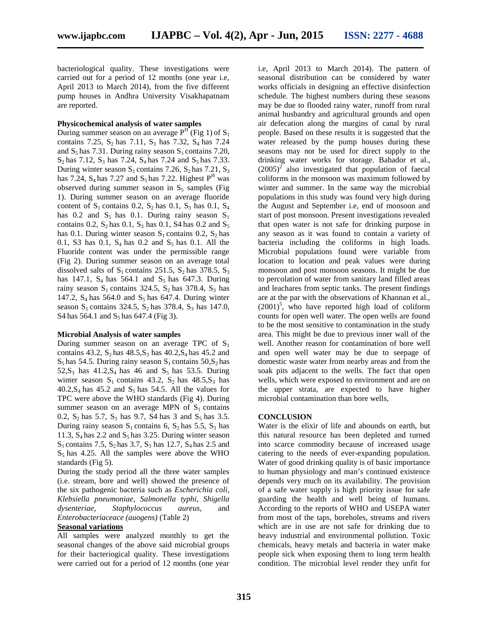bacteriological quality. These investigations were carried out for a period of 12 months (one year i.e, April 2013 to March 2014), from the five different pump houses in Andhra University Visakhapatnam are reported.

### **Physicochemical analysis of water samples**

During summer season on an average  $P^{H}$  (Fig 1) of  $S_1$ contains 7.25,  $S_2$  has 7.11,  $S_3$  has 7.32,  $S_4$  has 7.24 and  $S_5$  has 7.31. During rainy season  $S_1$  contains 7.20,  $S_2$  has 7.12,  $S_3$  has 7.24,  $S_4$  has 7.24 and  $S_5$  has 7.33. During winter season  $S_1$  contains 7.26,  $S_2$  has 7.21,  $S_3$ has 7.24,  $S_4$  has 7.27 and  $S_5$  has 7.22. Highest  $P^H$  was observed during summer season in  $S_5$  samples (Fig. 1). During summer season on an average fluoride content of  $S_1$  contains 0.2,  $S_2$  has 0.1,  $S_3$  has 0.1,  $S_4$ has 0.2 and  $S_5$  has 0.1. During rainy season  $S_1$ contains 0.2,  $S_2$  has 0.1,  $S_3$  has 0.1, S4 has 0.2 and  $S_5$ has 0.1. During winter season  $S_1$  contains 0.2,  $S_2$  has 0.1, S3 has 0.1,  $S_4$  has 0.2 and  $S_5$  has 0.1. All the Fluoride content was under the permissible range (Fig 2). During summer season on an average total dissolved salts of  $S_1$  contains 251.5,  $S_2$  has 378.5,  $S_3$ has 147.1,  $S_4$  has 564.1 and  $S_5$  has 647.3. During rainy season  $S_1$  contains 324.5,  $S_2$  has 378.4,  $S_3$  has 147.2,  $S_4$  has 564.0 and  $S_5$  has 647.4. During winter season  $S_1$  contains 324.5,  $S_2$  has 378.4,  $S_3$  has 147.0, S4 has 564.1 and  $S_5$  has 647.4 (Fig 3).

#### **Microbial Analysis of water samples**

During summer season on an average TPC of  $S_1$ contains 43.2,  $S_2$  has 48.5, $S_3$  has 40.2, $S_4$  has 45.2 and  $S_5$  has 54.5. During rainy season  $S_1$  contains 50,  $S_2$  has  $52, S_3$  has  $41.2, S_4$  has 46 and  $S_5$  has 53.5. During winter season  $S_1$  contains 43.2,  $S_2$  has 48.5,  $S_3$  has  $40.2$ , S<sub>4</sub> has  $45.2$  and S<sub>5</sub> has 54.5. All the values for TPC were above the WHO standards (Fig 4). During summer season on an average MPN of  $S_1$  contains 0.2,  $S_2$  has 5.7,  $S_3$  has 9.7, S4 has 3 and  $S_5$  has 3.5. During rainy season  $S_1$  contains 6,  $S_2$  has 5.5,  $S_3$  has 11.3,  $S_4$  has 2.2 and  $S_5$  has 3.25. During winter season  $S_1$  contains 7.5,  $S_2$  has 3.7,  $S_3$  has 12.7,  $S_4$  has 2.5 and  $S<sub>5</sub>$  has 4.25. All the samples were above the WHO standards (Fig 5).

During the study period all the three water samples (i.e. stream, bore and well) showed the presence of the six pathogenic bacteria such as *Escherichia coli, Klebsiella pneumoniae, Salmonella typhi, Shigella dysenteriae, Staphylococcus aureus,* and *Enterobacteriaceace (auogens)* (Table 2)

# **Seasonal variations**

All samples were analyzed monthly to get the seasonal changes of the above said microbial groups for their bacteriogical quality. These investigations were carried out for a period of 12 months (one year i.e, April 2013 to March 2014). The pattern of seasonal distribution can be considered by water works officials in designing an effective disinfection schedule. The highest numbers during these seasons may be due to flooded rainy water, runoff from rural animal husbandry and agricultural grounds and open air defecation along the margins of canal by rural people. Based on these results it is suggested that the water released by the pump houses during these seasons may not be used for direct supply to the drinking water works for storage. Bahador et al.,  $(2005)^2$  also investigated that population of faecal coliforms in the monsoon was maximum followed by winter and summer. In the same way the microbial populations in this study was found very high during the August and September i.e, end of monsoon and start of post monsoon. Present investigations revealed that open water is not safe for drinking purpose in any season as it was found to contain a variety of bacteria including the coliforms in high loads. Microbial populations found were variable from location to location and peak values were during monsoon and post monsoon seasons. It might be due to percolation of water from sanitary land filled areas and leachares from septic tanks. The present findings are at the par with the observations of Khannan et al.,  $(2001)^5$ , who have reported high load of coliform counts for open well water. The open wells are found to be the most sensitive to contamination in the study area. This might be due to previous inner wall of the well. Another reason for contamination of bore well and open well water may be due to seepage of domestic waste water from nearby areas and from the soak pits adjacent to the wells. The fact that open wells, which were exposed to environment and are on the upper strata, are expected to have higher microbial contamination than bore wells,

#### **CONCLUSION**

Water is the elixir of life and abounds on earth, but this natural resource has been depleted and turned into scarce commodity because of increased usage catering to the needs of ever-expanding population. Water of good drinking quality is of basic importance to human physiology and man's continued existence depends very much on its availability. The provision of a safe water supply is high priority issue for safe guarding the health and well being of humans. According to the reports of WHO and USEPA water from most of the taps, boreholes, streams and rivers which are in use are not safe for drinking due to heavy industrial and environmental pollution. Toxic chemicals, heavy metals and bacteria in water make people sick when exposing them to long term health condition. The microbial level render they unfit for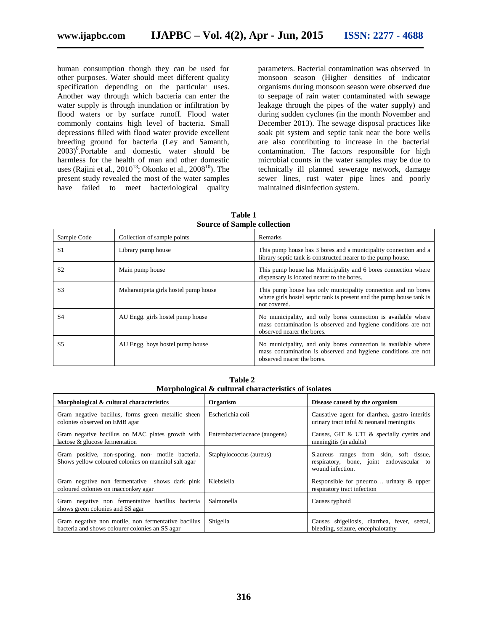human consumption though they can be used for other purposes. Water should meet different quality specification depending on the particular uses. Another way through which bacteria can enter the water supply is through inundation or infiltration by flood waters or by surface runoff. Flood water commonly contains high level of bacteria. Small depressions filled with flood water provide excellent breeding ground for bacteria (Ley and Samanth, 2003)<sup>6</sup> .Portable and domestic water should be harmless for the health of man and other domestic uses (Rajini et al.,  $2010^{13}$ ; Okonko et al.,  $2008^{10}$ ). The present study revealed the most of the water samples have failed to meet bacteriological quality

parameters. Bacterial contamination was observed in monsoon season (Higher densities of indicator organisms during monsoon season were observed due to seepage of rain water contaminated with sewage leakage through the pipes of the water supply) and during sudden cyclones (in the month November and December 2013). The sewage disposal practices like soak pit system and septic tank near the bore wells are also contributing to increase in the bacterial contamination. The factors responsible for high microbial counts in the water samples may be due to technically ill planned sewerage network, damage sewer lines, rust water pipe lines and poorly maintained disinfection system.

| <b>Source of Sample collection</b> |                                      |                                                                                                                                                              |  |  |
|------------------------------------|--------------------------------------|--------------------------------------------------------------------------------------------------------------------------------------------------------------|--|--|
| Sample Code                        | Collection of sample points          | Remarks                                                                                                                                                      |  |  |
| S1                                 | Library pump house                   | This pump house has 3 bores and a municipality connection and a<br>library septic tank is constructed nearer to the pump house.                              |  |  |
| S <sub>2</sub>                     | Main pump house                      | This pump house has Municipality and 6 bores connection where<br>dispensary is located nearer to the bores.                                                  |  |  |
| S <sub>3</sub>                     | Maharanipeta girls hostel pump house | This pump house has only municipality connection and no bores<br>where girls hostel septic tank is present and the pump house tank is<br>not covered.        |  |  |
| S <sub>4</sub>                     | AU Engg. girls hostel pump house     | No municipality, and only bores connection is available where<br>mass contamination is observed and hygiene conditions are not<br>observed nearer the bores. |  |  |
| S <sub>5</sub>                     | AU Engg. boys hostel pump house      | No municipality, and only bores connection is available where<br>mass contamination is observed and hygiene conditions are not<br>observed nearer the bores. |  |  |

**Table 1**

**Table 2 Morphological & cultural characteristics of isolates**

| Morphological & cultural characteristics                                                                  | Organism                      | Disease caused by the organism                                                                           |
|-----------------------------------------------------------------------------------------------------------|-------------------------------|----------------------------------------------------------------------------------------------------------|
| Gram negative bacillus, forms green metallic sheen<br>colonies observed on EMB agar                       | Escherichia coli              | Causative agent for diarrhea, gastro interitis<br>urinary tract inful & neonatal meningitis              |
| Gram negative bacillus on MAC plates growth with<br>lactose & glucose fermentation                        | Enterobacteriaceace (auogens) | Causes, GIT & UTI & specially cystits and<br>meningitis (in adults)                                      |
| Gram positive, non-sporing, non- motile bacteria.<br>Shows yellow coloured colonies on mannitol salt agar | Staphylococcus (aureus)       | S. aureus ranges from skin, soft tissue,<br>respiratory, bone, joint endovascular to<br>wound infection. |
| Gram negative non fermentative shows dark pink<br>coloured colonies on macconkey agar                     | Klebsiella                    | Responsible for pneumo urinary & upper<br>respiratory tract infection                                    |
| Gram negative non fermentative bacillus bacteria<br>shows green colonies and SS agar                      | Salmonella                    | Causes typhoid                                                                                           |
| Gram negative non motile, non fermentative bacillus<br>bacteria and shows colourer colonies an SS agar    | Shigella                      | Causes shigellosis, diarrhea, fever, seetal,<br>bleeding, seizure, encephalotathy                        |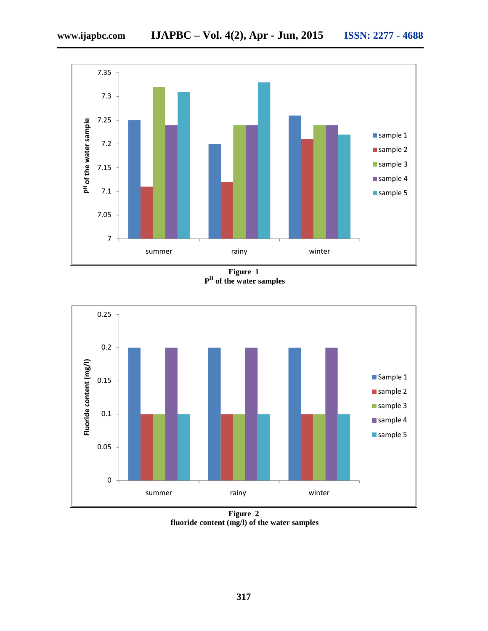

**Figure 1 P H of the water samples**



**Figure 2 fluoride content (mg/l) of the water samples**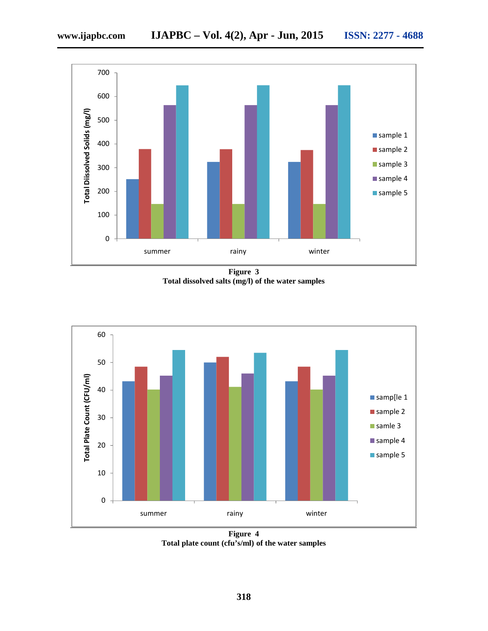

**Figure 3 Total dissolved salts (mg/l) of the water samples**



**Figure 4 Total plate count (cfu's/ml) of the water samples**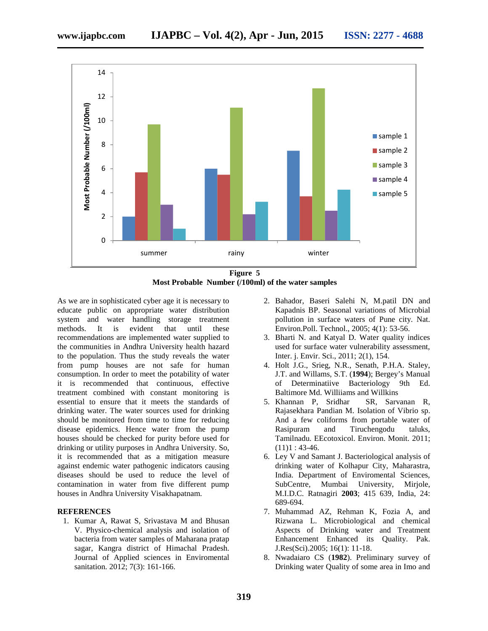

**Figure 5 Most Probable Number (/100ml) of the water samples**

As we are in sophisticated cyber age it is necessary to educate public on appropriate water distribution system and water handling storage treatment methods. It is evident that until these recommendations are implemented water supplied to the communities in Andhra University health hazard to the population. Thus the study reveals the water from pump houses are not safe for human consumption. In order to meet the potability of water it is recommended that continuous, effective treatment combined with constant monitoring is essential to ensure that it meets the standards of drinking water. The water sources used for drinking should be monitored from time to time for reducing disease epidemics. Hence water from the pump houses should be checked for purity before used for drinking or utility purposes in Andhra University. So, it is recommended that as a mitigation measure against endemic water pathogenic indicators causing diseases should be used to reduce the level of contamination in water from five different pump houses in Andhra University Visakhapatnam.

#### **REFERENCES**

1. Kumar A, Rawat S, Srivastava M and Bhusan V. Physico-chemical analysis and isolation of bacteria from water samples of Maharana pratap sagar, Kangra district of Himachal Pradesh. Journal of Applied sciences in Enviromental sanitation. 2012; 7(3): 161-166.

- 2. Bahador, Baseri Salehi N, M.patil DN and Kapadnis BP. Seasonal variations of Microbial pollution in surface waters of Pune city. Nat. Environ.Poll. Technol., 2005; 4(1): 53-56.
- 3. Bharti N. and Katyal D. Water quality indices used for surface water vulnerability assessment, Inter. j. Envir. Sci., 2011; 2(1), 154.
- 4. Holt J.G., Srieg, N.R., Senath, P.H.A. Staley, J.T. and Willams, S.T. (**1994**); Bergey's Manual of Determinatiive Bacteriology 9th Ed. Baltimore Md. Williiams and Willkins
- 5. Khannan P, Sridhar SR, Sarvanan R, Rajasekhara Pandian M. Isolation of Vibrio sp. And a few coliforms from portable water of Rasipuram and Tiruchengodu taluks, Tamilnadu. EEcotoxicol. Environ. Monit. 2011;  $(11)1:43-46.$
- 6. Ley V and Samant J. Bacteriological analysis of drinking water of Kolhapur City, Maharastra, India. Department of Enviromental Sciences, SubCentre, Mumbai University, Mirjole, M.I.D.C. Ratnagiri **2003**; 415 639, India, 24: 689-694.
- 7. Muhammad AZ, Rehman K, Fozia A, and Rizwana L. Microbiological and chemical Aspects of Drinking water and Treatment Enhancement Enhanced its Quality. Pak. J.Res(Sci).2005; 16(1): 11-18.
- 8. Nwadaiaro CS (**1982**). Preliminary survey of Drinking water Quality of some area in Imo and